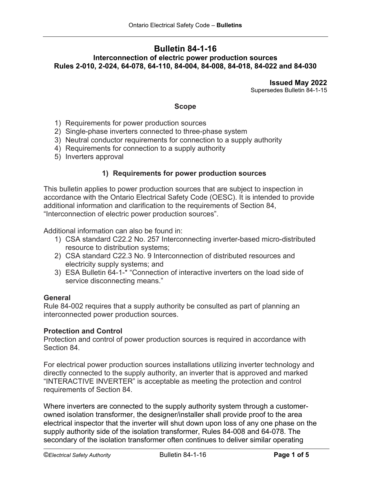# **Bulletin 84-1-16 Interconnection of electric power production sources Rules 2-010, 2-024, 64-078, 64-110, 84-004, 84-008, 84-018, 84-022 and 84-030**

**Issued May 2022** Supersedes Bulletin 84-1-15

## **Scope**

- 1) Requirements for power production sources
- 2) Single-phase inverters connected to three-phase system
- 3) Neutral conductor requirements for connection to a supply authority
- 4) Requirements for connection to a supply authority
- 5) Inverters approval

## **1) Requirements for power production sources**

This bulletin applies to power production sources that are subject to inspection in accordance with the Ontario Electrical Safety Code (OESC). It is intended to provide additional information and clarification to the requirements of Section 84, "Interconnection of electric power production sources".

Additional information can also be found in:

- 1) CSA standard C22.2 No. 257 Interconnecting inverter-based micro-distributed resource to distribution systems;
- 2) CSA standard C22.3 No. 9 Interconnection of distributed resources and electricity supply systems; and
- 3) ESA Bulletin 64-1-\* "Connection of interactive inverters on the load side of service disconnecting means."

#### **General**

Rule 84-002 requires that a supply authority be consulted as part of planning an interconnected power production sources.

## **Protection and Control**

Protection and control of power production sources is required in accordance with Section 84.

For electrical power production sources installations utilizing inverter technology and directly connected to the supply authority, an inverter that is approved and marked "INTERACTIVE INVERTER" is acceptable as meeting the protection and control requirements of Section 84.

Where inverters are connected to the supply authority system through a customerowned isolation transformer, the designer/installer shall provide proof to the area electrical inspector that the inverter will shut down upon loss of any one phase on the supply authority side of the isolation transformer, Rules 84-008 and 64-078. The secondary of the isolation transformer often continues to deliver similar operating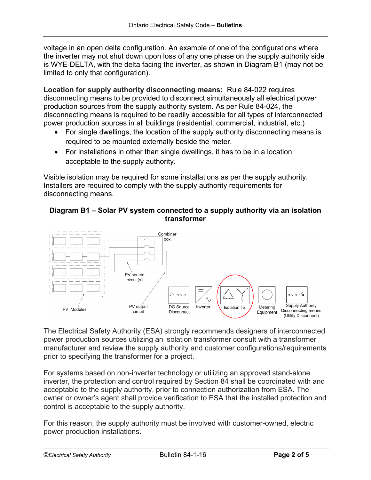voltage in an open delta configuration. An example of one of the configurations where the inverter may not shut down upon loss of any one phase on the supply authority side is WYE-DELTA, with the delta facing the inverter, as shown in Diagram B1 (may not be limited to only that configuration).

**Location for supply authority disconnecting means:** Rule 84-022 requires disconnecting means to be provided to disconnect simultaneously all electrical power production sources from the supply authority system. As per Rule 84-024, the disconnecting means is required to be readily accessible for all types of interconnected power production sources in all buildings (residential, commercial, industrial, etc.)

- For single dwellings, the location of the supply authority disconnecting means is required to be mounted externally beside the meter.
- For installations in other than single dwellings, it has to be in a location acceptable to the supply authority.

Visible isolation may be required for some installations as per the supply authority. Installers are required to comply with the supply authority requirements for disconnecting means.

# **Diagram B1 – Solar PV system connected to a supply authority via an isolation transformer**



The Electrical Safety Authority (ESA) strongly recommends designers of interconnected power production sources utilizing an isolation transformer consult with a transformer manufacturer and review the supply authority and customer configurations/requirements prior to specifying the transformer for a project.

For systems based on non-inverter technology or utilizing an approved stand-alone inverter, the protection and control required by Section 84 shall be coordinated with and acceptable to the supply authority, prior to connection authorization from ESA. The owner or owner's agent shall provide verification to ESA that the installed protection and control is acceptable to the supply authority.

For this reason, the supply authority must be involved with customer-owned, electric power production installations.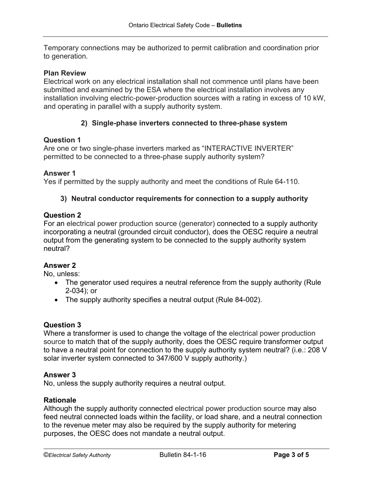Temporary connections may be authorized to permit calibration and coordination prior to generation.

## **Plan Review**

Electrical work on any electrical installation shall not commence until plans have been submitted and examined by the ESA where the electrical installation involves any installation involving electric-power-production sources with a rating in excess of 10 kW, and operating in parallel with a supply authority system.

# **2) Single-phase inverters connected to three-phase system**

#### **Question 1**

Are one or two single-phase inverters marked as "INTERACTIVE INVERTER" permitted to be connected to a three-phase supply authority system?

#### **Answer 1**

Yes if permitted by the supply authority and meet the conditions of Rule 64-110.

## **3) Neutral conductor requirements for connection to a supply authority**

## **Question 2**

For an electrical power production source (generator) connected to a supply authority incorporating a neutral (grounded circuit conductor), does the OESC require a neutral output from the generating system to be connected to the supply authority system neutral?

# **Answer 2**

No, unless:

- The generator used requires a neutral reference from the supply authority (Rule 2-034); or
- The supply authority specifies a neutral output (Rule 84-002).

#### **Question 3**

Where a transformer is used to change the voltage of the electrical power production source to match that of the supply authority, does the OESC require transformer output to have a neutral point for connection to the supply authority system neutral? (i.e.: 208 V solar inverter system connected to 347/600 V supply authority.)

#### **Answer 3**

No, unless the supply authority requires a neutral output.

#### **Rationale**

Although the supply authority connected electrical power production source may also feed neutral connected loads within the facility, or load share, and a neutral connection to the revenue meter may also be required by the supply authority for metering purposes, the OESC does not mandate a neutral output.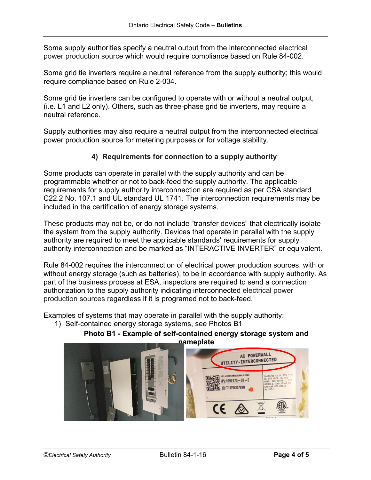Some supply authorities specify a neutral output from the interconnected electrical power production source which would require compliance based on Rule 84-002.

Some grid tie inverters require a neutral reference from the supply authority; this would require compliance based on Rule 2-034.

Some grid tie inverters can be configured to operate with or without a neutral output, (i.e. L1 and L2 only). Others, such as three-phase grid tie inverters, may require a neutral reference.

Supply authorities may also require a neutral output from the interconnected electrical power production source for metering purposes or for voltage stability.

# **4) Requirements for connection to a supply authority**

Some products can operate in parallel with the supply authority and can be programmable whether or not to back-feed the supply authority. The applicable requirements for supply authority interconnection are required as per CSA standard C22.2 No. 107.1 and UL standard UL 1741. The interconnection requirements may be included in the certification of energy storage systems.

These products may not be, or do not include "transfer devices" that electrically isolate the system from the supply authority. Devices that operate in parallel with the supply authority are required to meet the applicable standards' requirements for supply authority interconnection and be marked as "INTERACTIVE INVERTER" or equivalent.

Rule 84-002 requires the interconnection of electrical power production sources, with or without energy storage (such as batteries), to be in accordance with supply authority. As part of the business process at ESA, inspectors are required to send a connection authorization to the supply authority indicating interconnected electrical power production sources regardless if it is programed not to back-feed.

Examples of systems that may operate in parallel with the supply authority:

1) Self-contained energy storage systems, see Photos B1



**Photo B1 - Example of self-contained energy storage system and**